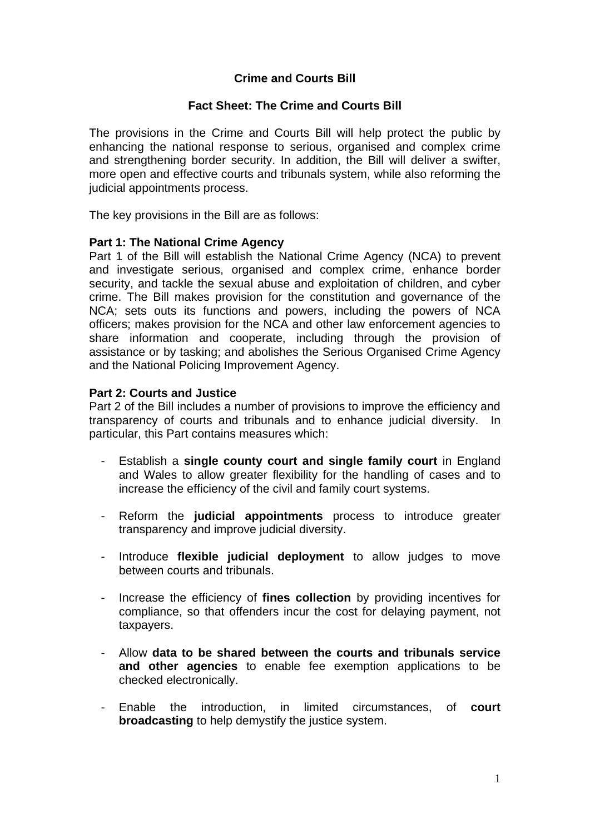# **Crime and Courts Bill**

## **Fact Sheet: The Crime and Courts Bill**

The provisions in the Crime and Courts Bill will help protect the public by enhancing the national response to serious, organised and complex crime and strengthening border security. In addition, the Bill will deliver a swifter, more open and effective courts and tribunals system, while also reforming the judicial appointments process.

The key provisions in the Bill are as follows:

## **Part 1: The National Crime Agency**

Part 1 of the Bill will establish the National Crime Agency (NCA) to prevent and investigate serious, organised and complex crime, enhance border security, and tackle the sexual abuse and exploitation of children, and cyber crime. The Bill makes provision for the constitution and governance of the NCA; sets outs its functions and powers, including the powers of NCA officers; makes provision for the NCA and other law enforcement agencies to share information and cooperate, including through the provision of assistance or by tasking; and abolishes the Serious Organised Crime Agency and the National Policing Improvement Agency.

## **Part 2: Courts and Justice**

Part 2 of the Bill includes a number of provisions to improve the efficiency and transparency of courts and tribunals and to enhance judicial diversity. In particular, this Part contains measures which:

- Establish a **single county court and single family court** in England and Wales to allow greater flexibility for the handling of cases and to increase the efficiency of the civil and family court systems.
- Reform the **judicial appointments** process to introduce greater transparency and improve judicial diversity.
- Introduce **flexible judicial deployment** to allow judges to move between courts and tribunals.
- Increase the efficiency of **fines collection** by providing incentives for compliance, so that offenders incur the cost for delaying payment, not taxpayers.
- Allow **data to be shared between the courts and tribunals service and other agencies** to enable fee exemption applications to be checked electronically.
- Enable the introduction, in limited circumstances, of **court broadcasting** to help demystify the justice system.